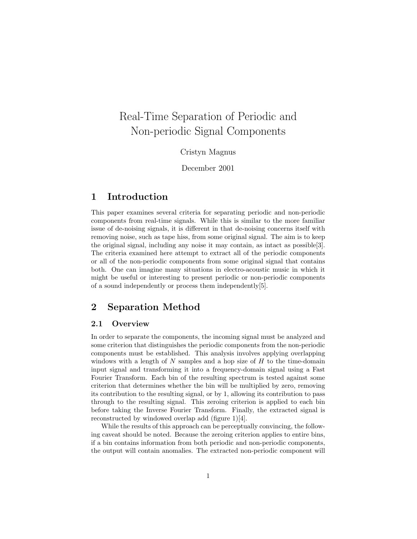# Real-Time Separation of Periodic and Non-periodic Signal Components

Cristyn Magnus

December 2001

# 1 Introduction

This paper examines several criteria for separating periodic and non-periodic components from real-time signals. While this is similar to the more familiar issue of de-noising signals, it is different in that de-noising concerns itself with removing noise, such as tape hiss, from some original signal. The aim is to keep the original signal, including any noise it may contain, as intact as possible[3]. The criteria examined here attempt to extract all of the periodic components or all of the non-periodic components from some original signal that contains both. One can imagine many situations in electro-acoustic music in which it might be useful or interesting to present periodic or non-periodic components of a sound independently or process them independently[5].

### 2 Separation Method

### 2.1 Overview

In order to separate the components, the incoming signal must be analyzed and some criterion that distinguishes the periodic components from the non-periodic components must be established. This analysis involves applying overlapping windows with a length of  $N$  samples and a hop size of  $H$  to the time-domain input signal and transforming it into a frequency-domain signal using a Fast Fourier Transform. Each bin of the resulting spectrum is tested against some criterion that determines whether the bin will be multiplied by zero, removing its contribution to the resulting signal, or by 1, allowing its contribution to pass through to the resulting signal. This zeroing criterion is applied to each bin before taking the Inverse Fourier Transform. Finally, the extracted signal is reconstructed by windowed overlap add (figure 1)[4].

While the results of this approach can be perceptually convincing, the following caveat should be noted. Because the zeroing criterion applies to entire bins, if a bin contains information from both periodic and non-periodic components, the output will contain anomalies. The extracted non-periodic component will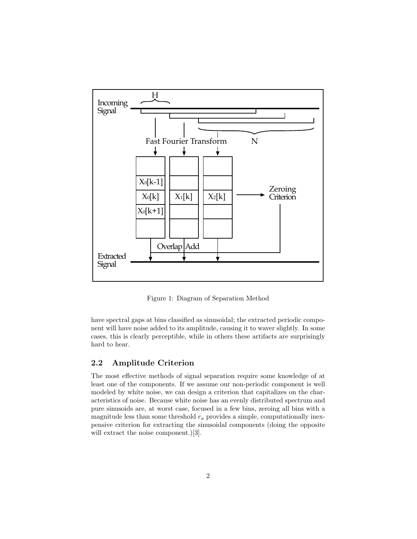

Figure 1: Diagram of Separation Method

have spectral gaps at bins classified as sinusoidal; the extracted periodic component will have noise added to its amplitude, causing it to waver slightly. In some cases, this is clearly perceptible, while in others these artifacts are surprisingly hard to hear.

### 2.2 Amplitude Criterion

The most effective methods of signal separation require some knowledge of at least one of the components. If we assume our non-periodic component is well modeled by white noise, we can design a criterion that capitalizes on the characteristics of noise. Because white noise has an evenly distributed spectrum and pure sinusoids are, at worst case, focused in a few bins, zeroing all bins with a magnitude less than some threshold  $r_a$  provides a simple, computationally inexpensive criterion for extracting the sinusoidal components (doing the opposite will extract the noise component.)[3].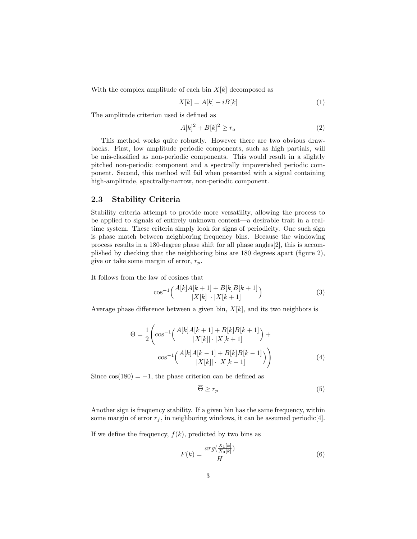With the complex amplitude of each bin  $X[k]$  decomposed as

$$
X[k] = A[k] + iB[k] \tag{1}
$$

The amplitude criterion used is defined as

$$
A[k]^2 + B[k]^2 \ge r_a \tag{2}
$$

This method works quite robustly. However there are two obvious drawbacks. First, low amplitude periodic components, such as high partials, will be mis-classified as non-periodic components. This would result in a slightly pitched non-periodic component and a spectrally impoverished periodic component. Second, this method will fail when presented with a signal containing high-amplitude, spectrally-narrow, non-periodic component.

#### 2.3 Stability Criteria

Stability criteria attempt to provide more versatility, allowing the process to be applied to signals of entirely unknown content—a desirable trait in a realtime system. These criteria simply look for signs of periodicity. One such sign is phase match between neighboring frequency bins. Because the windowing process results in a 180-degree phase shift for all phase angles[2], this is accomplished by checking that the neighboring bins are 180 degrees apart (figure 2), give or take some margin of error,  $r_p$ .

It follows from the law of cosines that

$$
\cos^{-1}\left(\frac{A[k]A[k+1] + B[k]B[k+1]}{|X[k]| \cdot |X[k+1]}\right) \tag{3}
$$

Average phase difference between a given bin,  $X[k]$ , and its two neighbors is

$$
\overline{\Theta} = \frac{1}{2} \left( \cos^{-1} \left( \frac{A[k]A[k+1] + B[k]B[k+1]}{|X[k]| \cdot |X[k+1]} \right) + \cos^{-1} \left( \frac{A[k]A[k-1] + B[k]B[k-1]}{|X[k]| \cdot |X[k-1]} \right) \right)
$$
(4)

Since  $cos(180) = -1$ , the phase criterion can be defined as

$$
\overline{\Theta} \ge r_p \tag{5}
$$

Another sign is frequency stability. If a given bin has the same frequency, within some margin of error  $r_f$ , in neighboring windows, it can be assumed periodic[4].

If we define the frequency,  $f(k)$ , predicted by two bins as

$$
F(k) = \frac{\arg(\frac{X_1[k]}{X_0[k]})}{H} \tag{6}
$$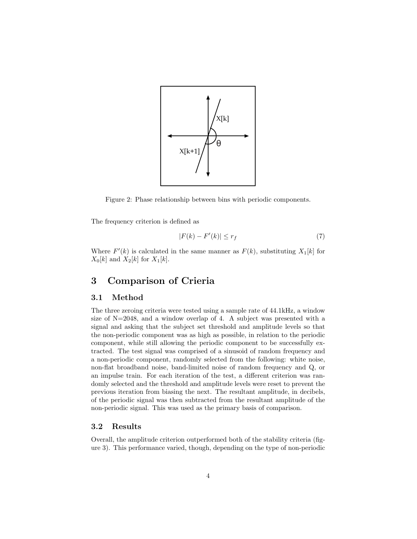

Figure 2: Phase relationship between bins with periodic components.

The frequency criterion is defined as

$$
|F(k) - F'(k)| \le r_f \tag{7}
$$

Where  $F'(k)$  is calculated in the same manner as  $F(k)$ , substituting  $X_1[k]$  for  $X_0[k]$  and  $X_2[k]$  for  $X_1[k]$ .

# 3 Comparison of Crieria

### 3.1 Method

The three zeroing criteria were tested using a sample rate of 44.1kHz, a window size of N=2048, and a window overlap of 4. A subject was presented with a signal and asking that the subject set threshold and amplitude levels so that the non-periodic component was as high as possible, in relation to the periodic component, while still allowing the periodic component to be successfully extracted. The test signal was comprised of a sinusoid of random frequency and a non-periodic component, randomly selected from the following: white noise, non-flat broadband noise, band-limited noise of random frequency and Q, or an impulse train. For each iteration of the test, a different criterion was randomly selected and the threshold and amplitude levels were reset to prevent the previous iteration from biasing the next. The resultant amplitude, in decibels, of the periodic signal was then subtracted from the resultant amplitude of the non-periodic signal. This was used as the primary basis of comparison.

#### 3.2 Results

Overall, the amplitude criterion outperformed both of the stability criteria (figure 3). This performance varied, though, depending on the type of non-periodic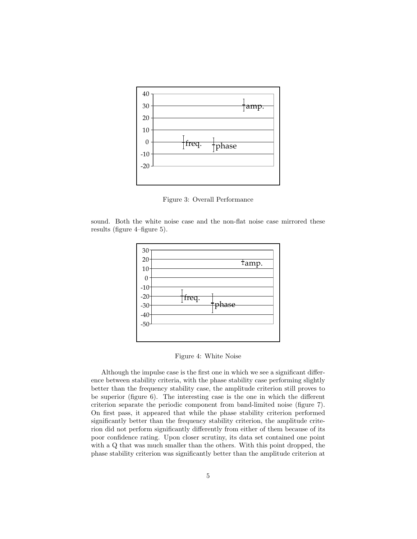

Figure 3: Overall Performance

sound. Both the white noise case and the non-flat noise case mirrored these results (figure 4–figure 5).



Figure 4: White Noise

Although the impulse case is the first one in which we see a significant difference between stability criteria, with the phase stability case performing slightly better than the frequency stability case, the amplitude criterion still proves to be superior (figure 6). The interesting case is the one in which the different criterion separate the periodic component from band-limited noise (figure 7). On first pass, it appeared that while the phase stability criterion performed significantly better than the frequency stability criterion, the amplitude criterion did not perform significantly differently from either of them because of its poor confidence rating. Upon closer scrutiny, its data set contained one point with a Q that was much smaller than the others. With this point dropped, the phase stability criterion was significantly better than the amplitude criterion at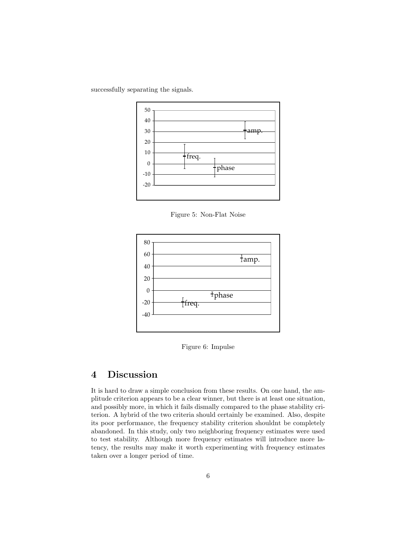successfully separating the signals.



Figure 5: Non-Flat Noise



Figure 6: Impulse

# 4 Discussion

It is hard to draw a simple conclusion from these results. On one hand, the amplitude criterion appears to be a clear winner, but there is at least one situation, and possibly more, in which it fails dismally compared to the phase stability criterion. A hybrid of the two criteria should certainly be examined. Also, despite its poor performance, the frequency stability criterion shouldnt be completely abandoned. In this study, only two neighboring frequency estimates were used to test stability. Although more frequency estimates will introduce more latency, the results may make it worth experimenting with frequency estimates taken over a longer period of time.